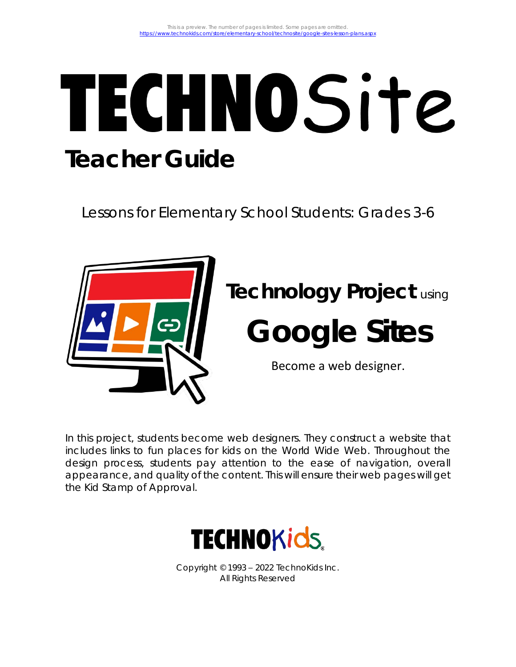# TECHNOSite **Teacher Guide**

Lessons for Elementary School Students: Grades 3-6



In this project, students become web designers. They construct a website that includes links to fun places for kids on the World Wide Web. Throughout the design process, students pay attention to the ease of navigation, overall appearance, and quality of the content. This will ensure their web pages will get the *Kid Stamp of Approval*.



Copyright © 1993 – 2022 TechnoKids Inc. All Rights Reserved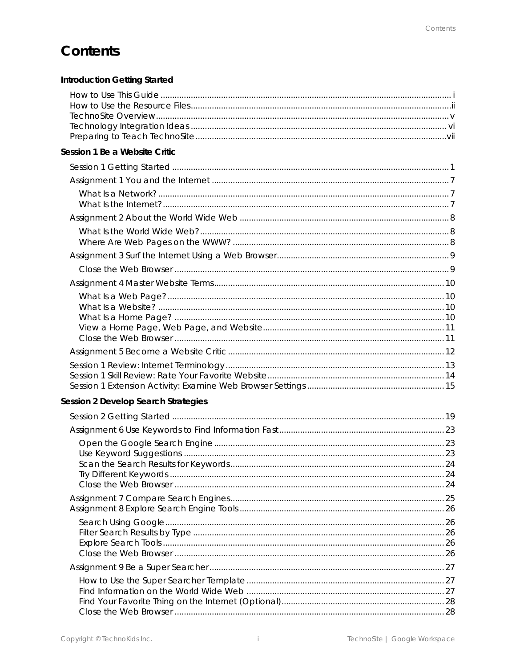## Contents

| Introduction Getting Started        |  |
|-------------------------------------|--|
|                                     |  |
| Session 1 Be a Website Critic       |  |
|                                     |  |
|                                     |  |
|                                     |  |
|                                     |  |
|                                     |  |
|                                     |  |
|                                     |  |
|                                     |  |
|                                     |  |
| Session 2 Develop Search Strategies |  |
|                                     |  |
|                                     |  |
|                                     |  |
|                                     |  |
|                                     |  |
|                                     |  |
|                                     |  |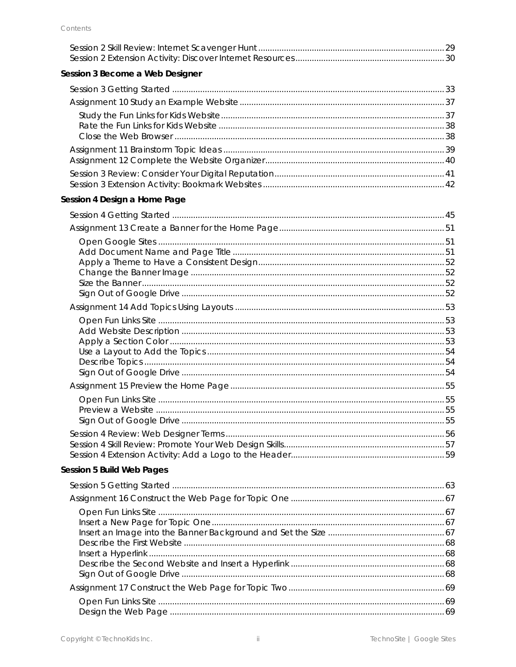| Session 3 Become a Web Designer |  |
|---------------------------------|--|
|                                 |  |
|                                 |  |
|                                 |  |
|                                 |  |
|                                 |  |
|                                 |  |
|                                 |  |
| Session 4 Design a Home Page    |  |
|                                 |  |
|                                 |  |
|                                 |  |
|                                 |  |
|                                 |  |
|                                 |  |
|                                 |  |
|                                 |  |
|                                 |  |
|                                 |  |
|                                 |  |
|                                 |  |
|                                 |  |
|                                 |  |
|                                 |  |
|                                 |  |
|                                 |  |
|                                 |  |
|                                 |  |
|                                 |  |
| Session 5 Build Web Pages       |  |
|                                 |  |
|                                 |  |
|                                 |  |
|                                 |  |
|                                 |  |
|                                 |  |
|                                 |  |
|                                 |  |
|                                 |  |
|                                 |  |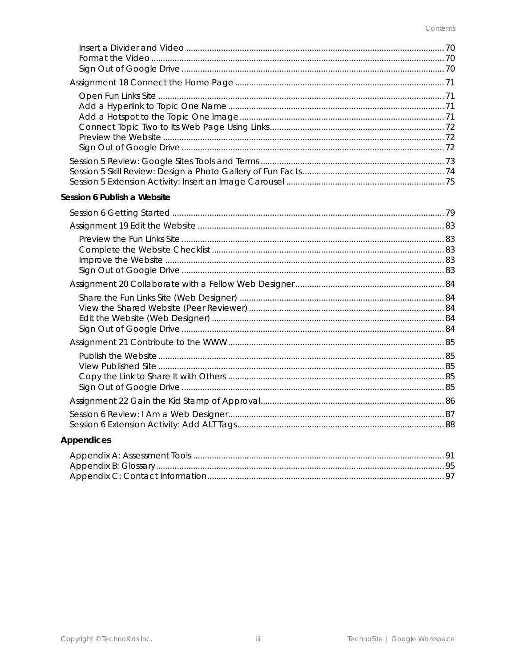| Session 6 Publish a Website |  |
|-----------------------------|--|
|                             |  |
|                             |  |
|                             |  |
|                             |  |
|                             |  |
|                             |  |
|                             |  |
|                             |  |
|                             |  |
|                             |  |
|                             |  |
|                             |  |
|                             |  |
|                             |  |
|                             |  |
|                             |  |
|                             |  |
| Appendices                  |  |
|                             |  |
|                             |  |
|                             |  |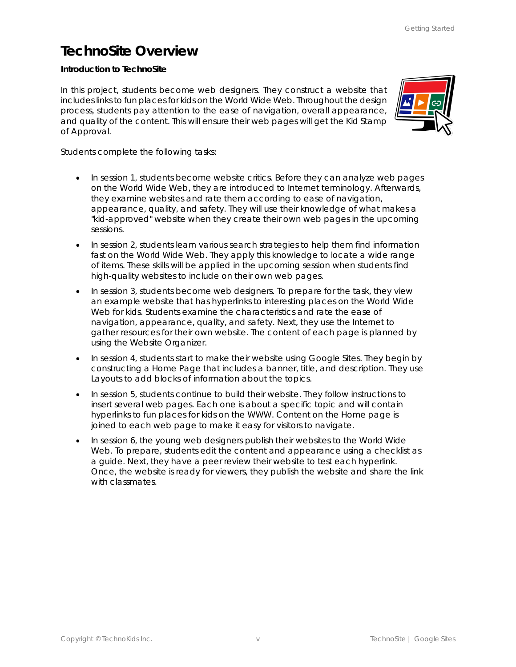## **TechnoSite Overview**

**Introduction to TechnoSite**

In this project, students become web designers. They construct a website that includes links to fun places for kids on the World Wide Web. Throughout the design process, students pay attention to the ease of navigation, overall appearance, and quality of the content. This will ensure their web pages will get the Kid Stamp of Approval.



Students complete the following tasks:

- In session 1, students become website critics. Before they can analyze web pages on the World Wide Web, they are introduced to Internet terminology. Afterwards, they examine websites and rate them according to ease of navigation, appearance, quality, and safety. They will use their knowledge of what makes a "kid-approved" website when they create their own web pages in the upcoming sessions.
- In session 2, students learn various search strategies to help them find information fast on the World Wide Web. They apply this knowledge to locate a wide range of items. These skills will be applied in the upcoming session when students find high-quality websites to include on their own web pages.
- In session 3, students become web designers. To prepare for the task, they view an example website that has hyperlinks to interesting places on the World Wide Web for kids. Students examine the characteristics and rate the ease of navigation, appearance, quality, and safety. Next, they use the Internet to gather resources for their own website. The content of each page is planned by using the Website Organizer.
- In session 4, students start to make their website using Google Sites. They begin by constructing a Home Page that includes a banner, title, and description. They use Layouts to add blocks of information about the topics.
- In session 5, students continue to build their website. They follow instructions to insert several web pages. Each one is about a specific topic and will contain hyperlinks to fun places for kids on the WWW. Content on the Home page is joined to each web page to make it easy for visitors to navigate.
- In session 6, the young web designers publish their websites to the World Wide Web. To prepare, students edit the content and appearance using a checklist as a guide. Next, they have a peer review their website to test each hyperlink. Once, the website is ready for viewers, they publish the website and share the link with classmates.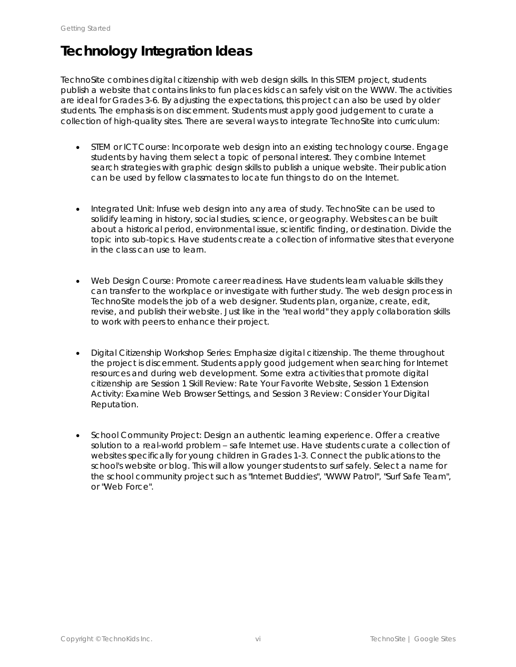# **Technology Integration Ideas**

TechnoSite combines digital citizenship with web design skills. In this STEM project, students publish a website that contains links to fun places kids can safely visit on the WWW. The activities are ideal for Grades 3-6. By adjusting the expectations, this project can also be used by older students. The emphasis is on discernment. Students must apply good judgement to curate a collection of high-quality sites. There are several ways to integrate TechnoSite into curriculum:

- *STEM or ICT Course*: Incorporate web design into an existing technology course. Engage students by having them select a topic of personal interest. They combine Internet search strategies with graphic design skills to publish a unique website. Their publication can be used by fellow classmates to locate fun things to do on the Internet.
- *Integrated Unit*: Infuse web design into any area of study. TechnoSite can be used to solidify learning in history, social studies, science, or geography. Websites can be built about a historical period, environmental issue, scientific finding, or destination. Divide the topic into sub-topics. Have students create a collection of informative sites that everyone in the class can use to learn.
- *Web Design Course*: Promote career readiness. Have students learn valuable skills they can transfer to the workplace or investigate with further study. The web design process in TechnoSite models the job of a web designer. Students plan, organize, create, edit, revise, and publish their website. Just like in the "real world" they apply collaboration skills to work with peers to enhance their project.
- *Digital Citizenship Workshop Series*: Emphasize digital citizenship. The theme throughout the project is discernment. Students apply good judgement when searching for Internet resources and during web development. Some extra activities that promote digital citizenship are Session 1 Skill Review: *Rate Your Favorite Website*, Session 1 Extension Activity: *Examine Web Browser Settings*, and Session 3 Review: *Consider Your Digital Reputation*.
- *School Community Project*: Design an authentic learning experience. Offer a creative solution to a real-world problem – safe Internet use. Have students curate a collection of websites specifically for young children in Grades 1-3. Connect the publications to the school's website or blog. This will allow younger students to surf safely. Select a name for the school community project such as "Internet Buddies", "WWW Patrol", "Surf Safe Team", or "Web Force".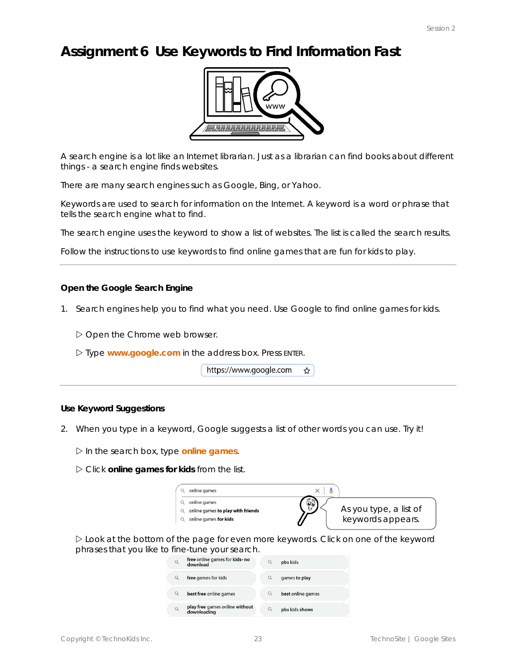## **Assignment 6 Use Keywords to Find Information Fast**



A search engine is a lot like an Internet librarian. Just as a librarian can find books about different things - a search engine finds websites.

There are many search engines such as Google, Bing, or Yahoo.

Keywords are used to search for information on the Internet. A *keyword* is a word or phrase that tells the search engine what to find.

The search engine uses the keyword to show a list of websites. The list is called the *search results*.

Follow the instructions to use keywords to find online games that are fun for kids to play.

**Open the Google Search Engine**

1. Search engines help you to find what you need. Use Google to find online games for kids.

Open the Chrome web browser.

Type **www.google.com** in the address box. Press ENTER.

https://www.google.com  $\frac{1}{2}$ 

**Use Keyword Suggestions**

2. When you type in a keyword, Google suggests a list of other words you can use. Try it!

In the search box, type **online games**.

Click **online games for kids** from the list.

| online games                      |                        |
|-----------------------------------|------------------------|
| online games                      |                        |
| online games to play with friends | As you type, a list of |
| online games for kids             | keywords appears.      |

 Look at the bottom of the page for even more keywords. Click on one of the keyword phrases that you like to fine-tune your search.<br>Q free online games for kids- no

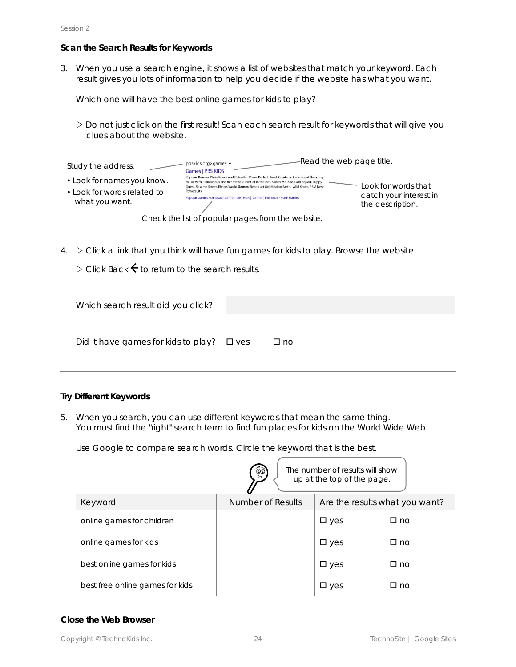#### **Scan the Search Results for Keywords**

3. When you use a search engine, it shows a list of websites that match your keyword. Each result gives you lots of information to help you decide if the website has what you want.

Which one will have the best online games for kids to play?

 Do not just click on the first result! Scan each search result for keywords that will give you clues about the website.

| Study the address.                                                          | pbskids.org > games ▼<br><b>Games   PBS KIDS</b>                                                                                                                                                                                                                                              | -Read the web page title.                  |
|-----------------------------------------------------------------------------|-----------------------------------------------------------------------------------------------------------------------------------------------------------------------------------------------------------------------------------------------------------------------------------------------|--------------------------------------------|
| • Look for names you know.<br>• Look for words related to<br>what you want. | Popular Games. Pinkalicious and Peterrific. Pinka-Perfect Band. Create an instrument then play<br>music with Pinkalicious and her friends! The Cat in the Hat. Slidea-Ma-Zoo. Odd Squad. Puppy<br>Quest. Sesame Street. Elmo's World Games. Ready Jet Go! Mission Earth. Wild Kratts. PSM New | Look for words that                        |
|                                                                             | Powersuits.<br>Popular Games . Dinosaur Games . ARTHUR   Games   PBS KIDS . Math Games                                                                                                                                                                                                        | catch your interest in<br>the description. |
|                                                                             | Check the list of popular pages from the website.                                                                                                                                                                                                                                             |                                            |

4.  $\triangleright$  Click a link that you think will have fun games for kids to play. Browse the website.

 $\triangleright$  Click *Back*  $\leftarrow$  to return to the search results.

| Which search result did you click?             |              |
|------------------------------------------------|--------------|
| Did it have games for kids to play? $\Box$ yes | $\square$ no |

**Try Different Keywords**

5. When you search, you can use different keywords that mean the same thing. You must find the "right" search term to find fun places for kids on the World Wide Web.

Use Google to compare search words. Circle the keyword that is the best.

|                                 | ලිවි              | The number of results will show<br>up at the top of the page. |                                |
|---------------------------------|-------------------|---------------------------------------------------------------|--------------------------------|
| Keyword                         | Number of Results |                                                               | Are the results what you want? |
| online games for children       |                   | $\square$ yes                                                 | $\Box$ no                      |
| online games for kids           |                   | $\square$ yes                                                 | $\Box$ no                      |
| best online games for kids      |                   | $\square$ yes                                                 | $\Box$ no                      |
| best free online games for kids |                   | $\square$ yes                                                 | □ no                           |

#### **Close the Web Browser**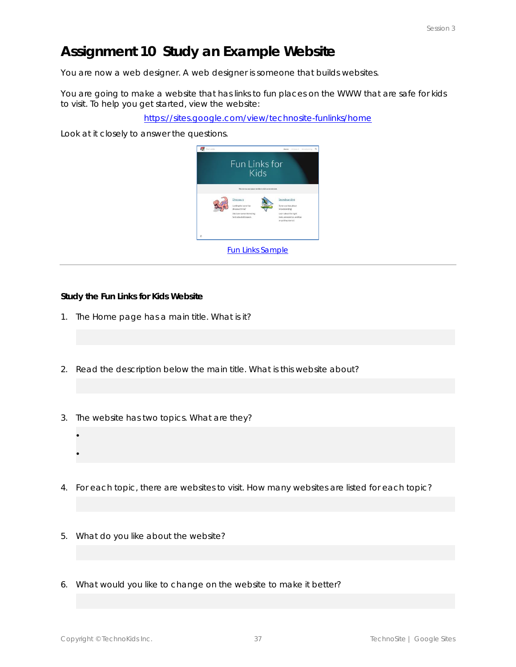## **Assignment 10 Study an Example Website**

You are now a web designer. A *web designer* is someone that builds websites.

You are going to make a website that has links to fun places on the WWW that are safe for kids to visit. To help you get started, view the website:

https://sites.google.com/view/technosite-funlinks/home

Look at it closely to answer the questions.



**Study the Fun Links for Kids Website**

- 1. The Home page has a main title. What is it?
- 2. Read the description below the main title. What is this website about?
- 3. The website has two topics. What are they?
- 4. For each topic, there are websites to visit. How many websites are listed for each topic?
- 5. What do you like about the website?
- 6. What would you like to change on the website to make it better?

 $\bullet$ 

 $\bullet$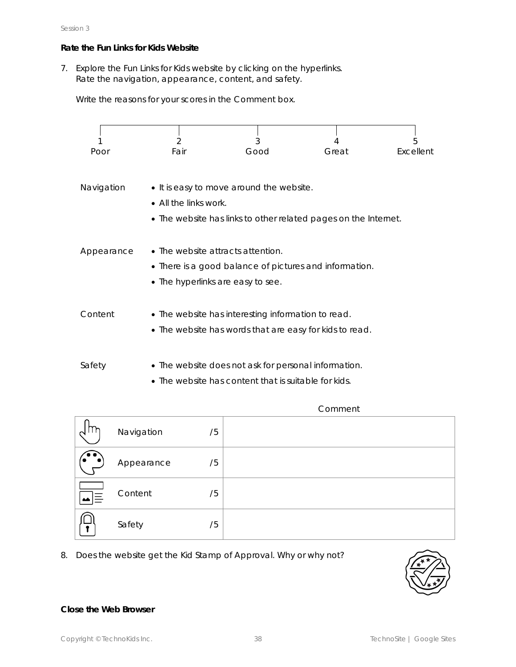#### **Rate the Fun Links for Kids Website**

7. Explore the *Fun Links for Kids* website by clicking on the hyperlinks. Rate the navigation, appearance, content, and safety.

Write the reasons for your scores in the *Comment* box.



• The website has content that is suitable for kids.

|     | Navigation | /5 |  |
|-----|------------|----|--|
|     | Appearance | /5 |  |
| 、l= | Content    | /5 |  |
|     | Safety     | /5 |  |

8. Does the website get the *Kid Stamp of Approval*. Why or why not?



**Close the Web Browser**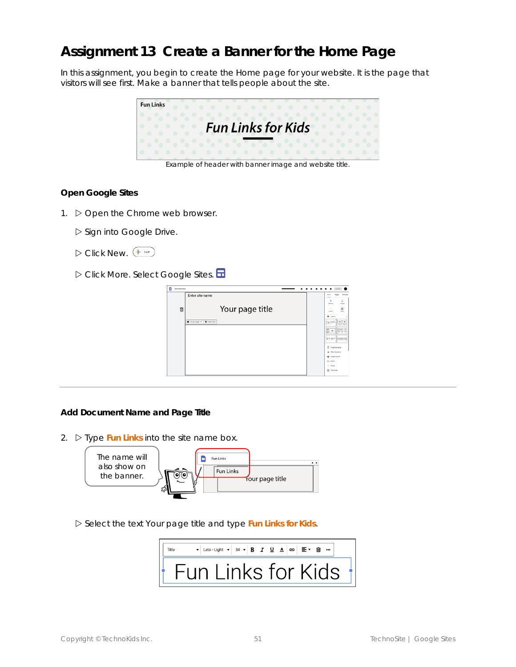## **Assignment 13 Create a Banner for the Home Page**

In this assignment, you begin to create the Home page for your website. It is the page that visitors will see first. Make a banner that tells people about the site.



Example of header with banner image and website title.

**Open Google Sites**

1.  $\triangleright$  Open the Chrome web browser.

Sign into Google Drive.

- $\triangleright$  Click New.  $\overline{+ \ \tiny{\hbox{1cm}}}$
- Click *More*. Select *Google Sites*.

| <b>Linkided Site</b> |                              | ٠<br><b>Dubbly</b>                                                                                  |
|----------------------|------------------------------|-----------------------------------------------------------------------------------------------------|
|                      | Enter site name              | Themes<br>Pages<br><b>Insect</b><br>$\overline{\phantom{a}}$<br>ω<br>ħ<br>Test box<br><b>brager</b> |
| 面                    | Your page title              | ♨<br>$\bullet$<br>Orie<br>Grated<br><b>GE</b> Locate                                                |
|                      | Changelmap: +   E Headertype | 일일<br>$\vert \cdot \vert$<br>E<br>国国国<br>à.<br>゠゠<br>۰                                              |
|                      |                              | 国王国王<br>GEES                                                                                        |
|                      |                              | т<br>Collegeble group<br>M Table of cards and<br>O impromed                                         |
|                      |                              | ED Tutton<br>$-$ Guide                                                                              |
|                      |                              | <b>B</b> Playbolter                                                                                 |

#### **Add Document Name and Page Title**

2.  $\triangleright$  Type Fun Links into the *site* name box.



Select the text *Your page title* and type **Fun Links for Kids***.*

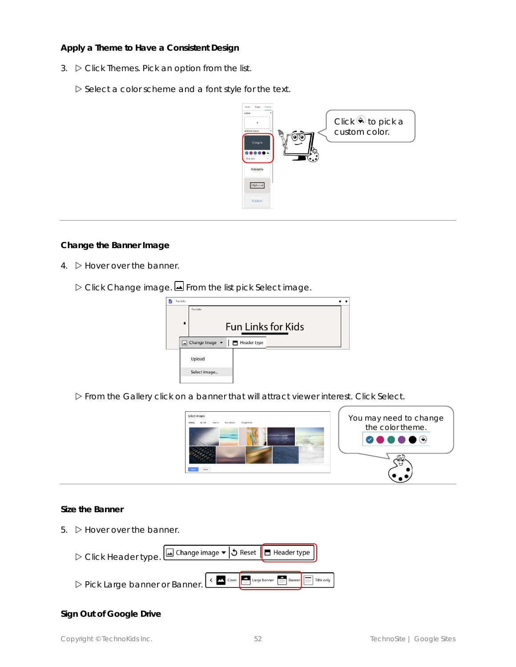**Apply a Theme to Have a Consistent Design**

- 3. Click *Themes*. Pick an option from the list.
	- $\triangleright$  Select a color scheme and a font style for the text.



**Change the Banner Image**

- 4.  $\triangleright$  Hover over the banner.
	- Click *Change image.* From the list pick *Select image*.



From the *Gallery* click on a banner that will attract viewer interest. Click *Select*.



**Size the Banner**

5.  $\triangleright$  Hover over the banner.



#### **Sign Out of Google Drive**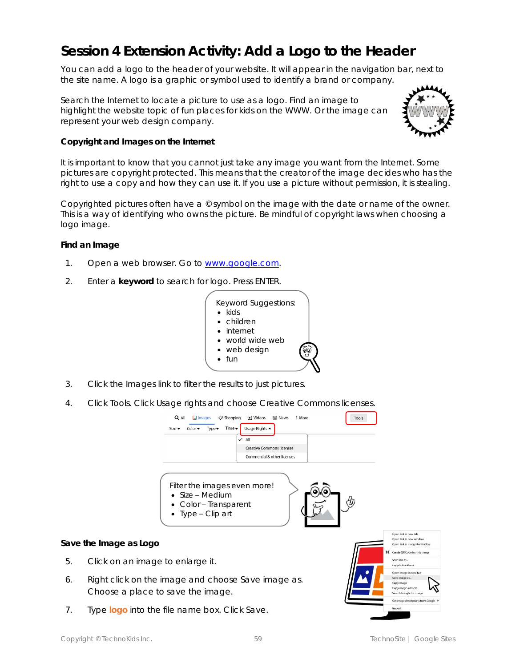## **Session 4 Extension Activity: Add a Logo to the Header**

You can add a logo to the header of your website. It will appear in the navigation bar, next to the site name. A *logo* is a graphic or symbol used to identify a brand or company.

Search the Internet to locate a picture to use as a logo. Find an image to highlight the website topic of fun places for kids on the WWW. Or the image can represent your web design company.



**Copyright and Images on the Internet**

It is important to know that you cannot just take any image you want from the Internet. Some pictures are *copyright* protected. This means that the creator of the image decides who has the *right* to use a *copy* and how they can use it. If you use a picture without permission, it is stealing.

Copyrighted pictures often have a © symbol on the image with the date or name of the owner. This is a way of identifying who owns the picture. Be mindful of copyright laws when choosing a logo image.

**Find an Image**

- 1. Open a web browser. Go to www.google.com.
- 2. Enter a **keyword** to search for logo. Press ENTER.



- 3. Click the *Images* link to filter the results to just pictures.
- 4. Click *Tools*. Click *Usage rights* and choose *Creative Commons licenses*.



Choose a place to save the image.

7. Type **logo** into the file name box. Click *Save*.

iearch Google for image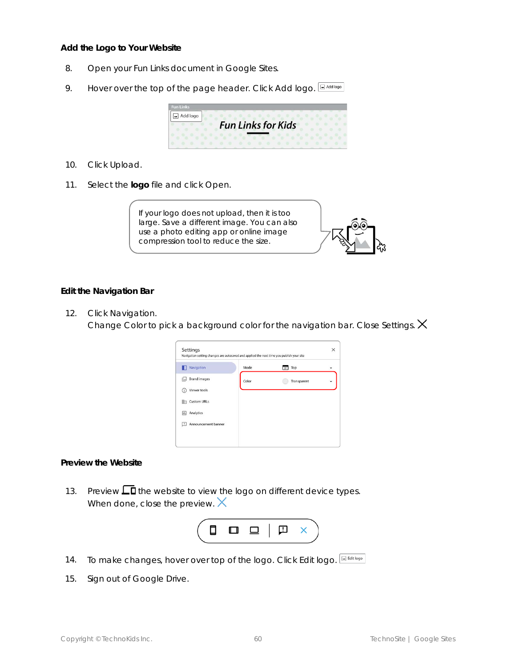**Add the Logo to Your Website**

- 8. Open your *Fun Links* document in Google Sites.
- 9. Hover over the top of the page header. Click *Add logo*.



- 10. Click *Upload*.
- 11. Select the **logo** file and click *Open*.



#### **Edit the Navigation Bar**

12. Click *Navigation.* 

Change Color to pick a background color for the navigation bar. Close Settings.  $\times$ 

| Navigation setting changes are autosaved and applied the next time you publish your site |       |             | × |
|------------------------------------------------------------------------------------------|-------|-------------|---|
| Navigation                                                                               | Mode  | Top<br>m    | ▼ |
| <b>Brand images</b><br>lш                                                                | Color | Transparent | ۰ |
| Viewer tools<br>n.                                                                       |       |             |   |
| <b>Custom URLs</b><br>⊪                                                                  |       |             |   |
| Analytics<br>$\overline{\mathbf{u}}$                                                     |       |             |   |
| Announcement banner<br>п                                                                 |       |             |   |

**Preview the Website**

13. Preview  $\Box$  the website to view the logo on different device types. When done, close the preview.  $\times$ 



- 14. To make changes, hover over top of the logo. Click *Edit logo*.
- 15. Sign out of Google Drive.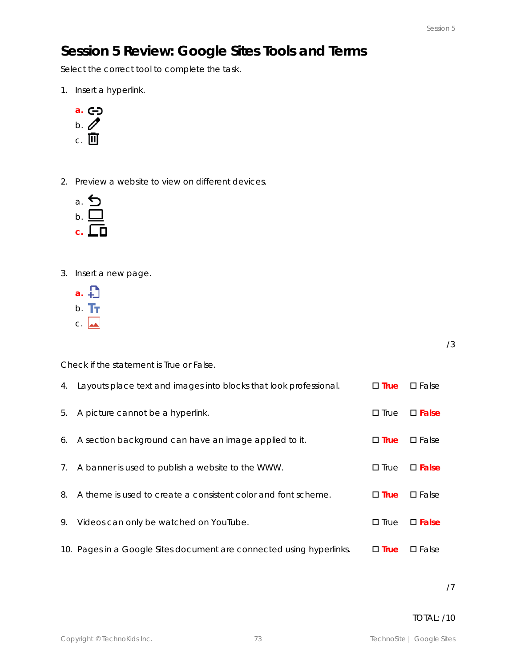## **Session 5 Review: Google Sites Tools and Terms**

Select the correct tool to complete the task.

1. Insert a hyperlink.



2. Preview a website to view on different devices.



- 3. Insert a new page.
	- **a.**
	- b. Tr
	- $C.$   $\overline{\phantom{a}}$

/3

Check if the statement is True or False.

| 4. | Layouts place text and images into blocks that look professional.    | $\square$ True | $\square$ False |
|----|----------------------------------------------------------------------|----------------|-----------------|
| 5. | A picture cannot be a hyperlink.                                     | $\square$ True | $\square$ False |
|    | 6. A section background can have an image applied to it.             | $\square$ True | $\square$ False |
| 7. | A banner is used to publish a website to the WWW.                    | $\square$ True | $\square$ False |
| 8. | A theme is used to create a consistent color and font scheme.        | $\square$ True | $\square$ False |
| 9. | Videos can only be watched on YouTube.                               | $\square$ True | $\square$ False |
|    | 10. Pages in a Google Sites document are connected using hyperlinks. | $\square$ True | $\square$ False |

/7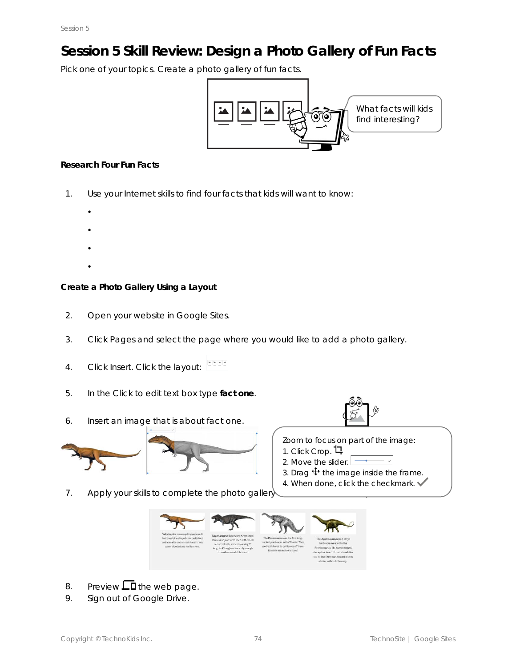# **Session 5 Skill Review: Design a Photo Gallery of Fun Facts**

Pick one of your topics. Create a photo gallery of fun facts.



#### **Research Four Fun Facts**

 $\bullet$ 

- 1. Use your Internet skills to find four facts that kids will want to know:
	- $\bullet$
	- $\bullet$
	- $\bullet$
	-

**Create a Photo Gallery Using a Layout**

- 2. Open your website in Google Sites.
- 3. Click *Pages* and select the page where you would like to add a photo gallery.
- 4. Click *Insert*. Click the layout:
- 5. In the *Click to edit text* box type **fact one**.
- 6. Insert an image that is about fact one.



Zoom to focus on part of the image:

- 1. Click *Crop*.
- 2. Move the slider.  $\boxed{\longrightarrow}$
- 3. Drag  $\bigoplus$  the image inside the frame.
- 4. When done, click the checkmark.
- 7. Apply your skills to complete the photo gallery



- 8. Preview  $\Box$  the web page.
- 9. Sign out of Google Drive.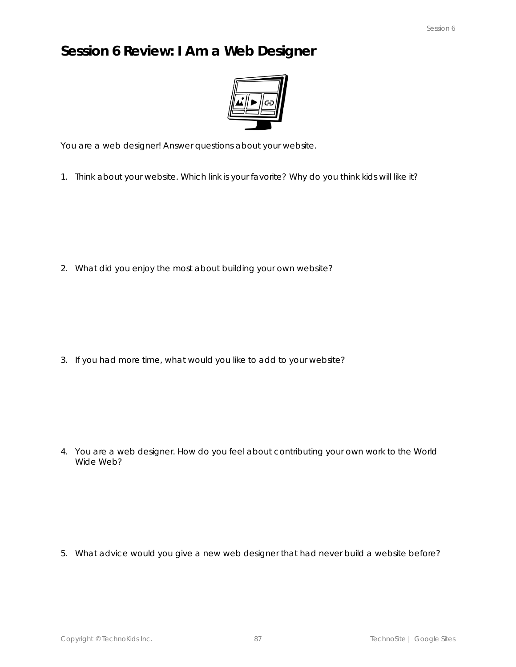### **Session 6 Review: I Am a Web Designer**



You are a web designer! Answer questions about your website.

1. Think about your website. Which link is your favorite? Why do you think kids will like it?

2. What did you enjoy the most about building your own website?

3. If you had more time, what would you like to add to your website?

4. You are a web designer. How do you feel about contributing your own work to the World Wide Web?

5. What advice would you give a new web designer that had never build a website before?